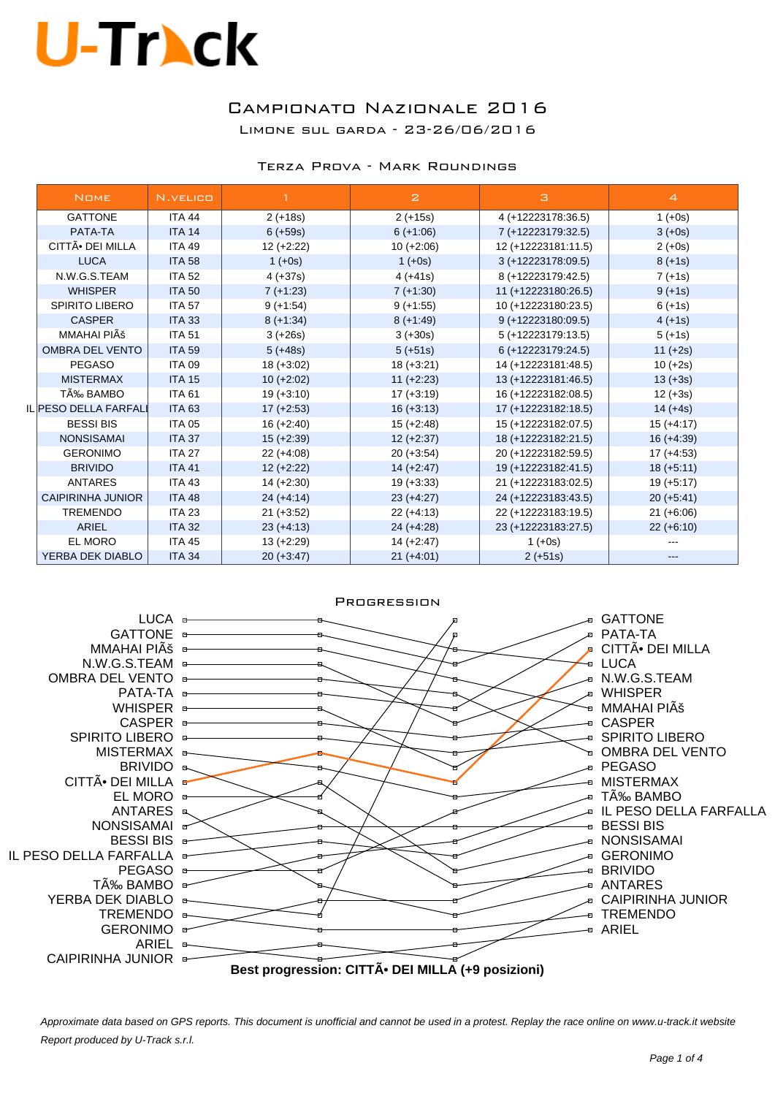### Campionato Nazionale 2016 Limone sul garda - 23-26/06/2016

#### Terza Prova - Mark Roundings

| <b>NOME</b>              | N.VELICO      |              | $\overline{z}$ | з                   | $\overline{4}$ |
|--------------------------|---------------|--------------|----------------|---------------------|----------------|
| <b>GATTONE</b>           | <b>ITA 44</b> | $2 (+18s)$   | $2 (+15s)$     | 4 (+12223178:36.5)  | $1 (+0s)$      |
| PATA-TA                  | <b>ITA 14</b> | $6 (+59s)$   | $6 (+1:06)$    | 7 (+12223179:32.5)  | $3 (+0s)$      |
| CITTÕ DEI MILLA          | <b>ITA 49</b> | $12 (+2:22)$ | $10 (+2:06)$   | 12 (+12223181:11.5) | $2 (+0s)$      |
| <b>LUCA</b>              | <b>ITA 58</b> |              | $1 (+0s)$      | 3 (+12223178:09.5)  | $8 (+1s)$      |
| N.W.G.S.TEAM             | <b>ITA 52</b> | $4 (+37s)$   | $4 (+41s)$     | 8 (+12223179:42.5)  | $7 (+1s)$      |
| <b>WHISPER</b>           | <b>ITA 50</b> | $7 (+1:23)$  | $7 (+1:30)$    | 11 (+12223180:26.5) | $9 (+1s)$      |
| <b>SPIRITO LIBERO</b>    | <b>ITA 57</b> | $9 (+1:54)$  | $9 (+1:55)$    | 10 (+12223180:23.5) | $6 (+1s)$      |
| <b>CASPER</b>            | <b>ITA 33</b> | $8 (+1:34)$  | $8 (+1.49)$    | 9 (+12223180:09.5)  | $4 (+1s)$      |
| MMAHAI PIÊ               | <b>ITA 51</b> | $3 (+26s)$   | $3 (+30s)$     | 5 (+12223179:13.5)  | $5 (+1s)$      |
| OMBRA DEL VENTO          | <b>ITA 59</b> | $5 (+48s)$   | $5 (+51s)$     | 6 (+12223179:24.5)  | $11 (+2s)$     |
| <b>PEGASO</b>            | <b>ITA 09</b> | $18 (+3.02)$ | $18 (+3.21)$   | 14 (+12223181:48.5) | $10 (+2s)$     |
| <b>MISTERMAX</b>         | <b>ITA 15</b> | $10 (+2:02)$ | $11 (+2:23)$   | 13 (+12223181:46.5) | $13 (+3s)$     |
| TÉ BAMBO                 | <b>ITA 61</b> | $19 (+3:10)$ | $17 (+3:19)$   | 16 (+12223182:08.5) | $12 (+3s)$     |
| IL PESO DELLA FARFALI    | <b>ITA 63</b> | $17 (+2:53)$ | $16 (+3:13)$   | 17 (+12223182:18.5) | $14 (+4s)$     |
| <b>BESSI BIS</b>         | <b>ITA 05</b> | $16 (+2:40)$ | $15 (+2:48)$   | 15 (+12223182:07.5) | $15 (+4:17)$   |
| <b>NONSISAMAI</b>        | <b>ITA 37</b> | $15 (+2.39)$ | $12 (+2:37)$   | 18 (+12223182:21.5) | $16 (+4:39)$   |
| <b>GERONIMO</b>          | <b>ITA 27</b> | $22 (+4:08)$ | $20 (+3.54)$   | 20 (+12223182:59.5) | $17 (+4.53)$   |
| <b>BRIVIDO</b>           | <b>ITA 41</b> | $12 (+2:22)$ | $14 (+2:47)$   | 19 (+12223182:41.5) | $18 (+5:11)$   |
| <b>ANTARES</b>           | <b>ITA 43</b> | $14 (+2:30)$ | $19 (+3:33)$   | 21 (+12223183:02.5) | $19 (+5:17)$   |
| <b>CAIPIRINHA JUNIOR</b> | <b>ITA 48</b> | $24 (+4:14)$ | $23 (+4.27)$   | 24 (+12223183:43.5) | $20 (+5:41)$   |
| <b>TREMENDO</b>          | <b>ITA 23</b> | $21 (+3.52)$ | $22 (+4:13)$   | 22 (+12223183:19.5) | $21 (+6.06)$   |
| <b>ARIEL</b>             | <b>ITA 32</b> | $23 (+4:13)$ | $24 (+4.28)$   | 23 (+12223183:27.5) | $22 (+6:10)$   |
| EL MORO                  | <b>ITA 45</b> | $13 (+2:29)$ | $14 (+2:47)$   | $1 (+0s)$           |                |
| YERBA DEK DIABLO         | <b>ITA 34</b> | $20 (+3:47)$ | $21 (+4.01)$   | $2 (+51s)$          |                |

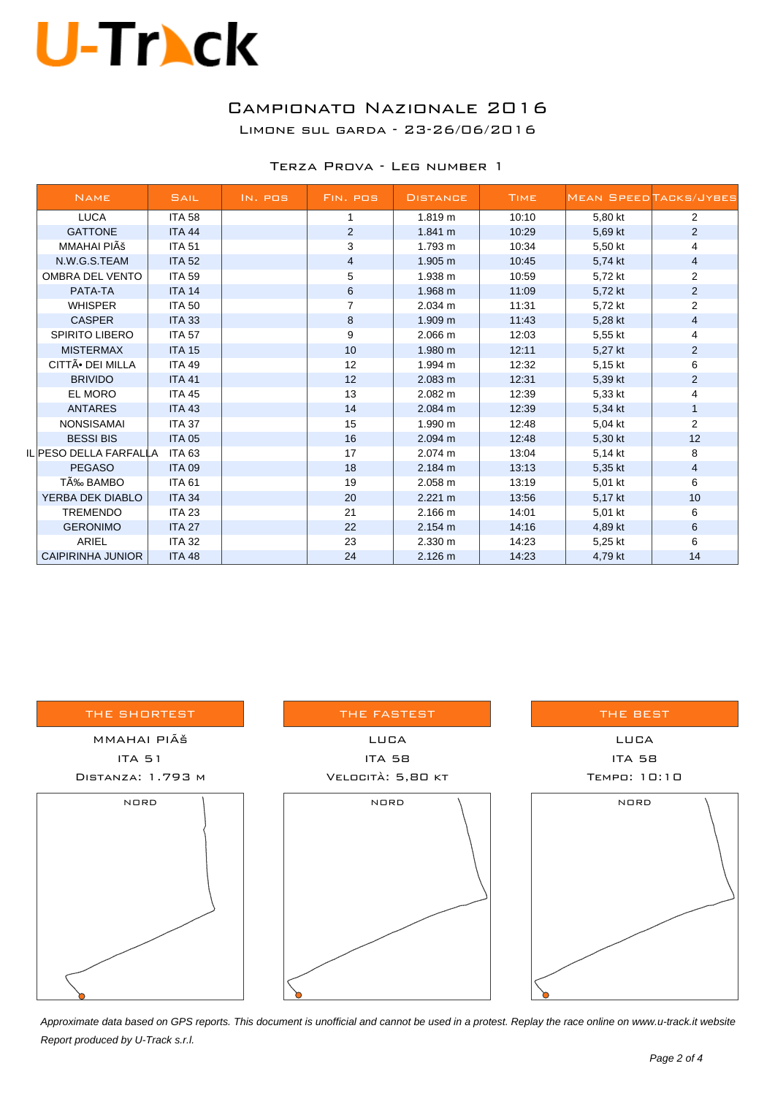### Campionato Nazionale 2016

Limone sul garda - 23-26/06/2016

| TERZA PROVA - LEG NUMBER 1 |  |
|----------------------------|--|
|----------------------------|--|

| <b>NAME</b>                  | <b>SAIL</b>   | IN. POS | FIN. POS       | <b>DISTANCE</b>   | <b>TIME</b> |         | <b>MEAN SPEED TACKS/JYBES</b> |
|------------------------------|---------------|---------|----------------|-------------------|-------------|---------|-------------------------------|
| <b>LUCA</b>                  | <b>ITA 58</b> |         | 1              | 1.819 m           | 10:10       | 5,80 kt | $\overline{2}$                |
| <b>GATTONE</b>               | <b>ITA 44</b> |         | $\overline{2}$ | 1.841 m           | 10:29       | 5,69 kt | $\overline{2}$                |
| MMAHAI PIÊ                   | <b>ITA 51</b> |         | 3              | 1.793 m           | 10:34       | 5,50 kt | 4                             |
| N.W.G.S.TEAM                 | <b>ITA 52</b> |         | $\overline{4}$ | 1.905 m           | 10:45       | 5,74 kt | 4                             |
| <b>OMBRA DEL VENTO</b>       | <b>ITA 59</b> |         | 5              | 1.938 m           | 10:59       | 5,72 kt | $\overline{2}$                |
| PATA-TA                      | <b>ITA 14</b> |         | 6              | $1.968 \text{ m}$ | 11:09       | 5,72 kt | $\overline{a}$                |
| <b>WHISPER</b>               | <b>ITA 50</b> |         | 7              | 2.034 m           | 11:31       | 5,72 kt | $\overline{2}$                |
| <b>CASPER</b>                | <b>ITA 33</b> |         | 8              | 1.909 m           | 11:43       | 5,28 kt | 4                             |
| <b>SPIRITO LIBERO</b>        | <b>ITA 57</b> |         | 9              | 2.066 m           | 12:03       | 5,55 kt | 4                             |
| <b>MISTERMAX</b>             | <b>ITA 15</b> |         | 10             | 1.980 m           | 12:11       | 5,27 kt | $\overline{c}$                |
| CITTÃ <sup>•</sup> DEI MILLA | <b>ITA 49</b> |         | 12             | 1.994 m           | 12:32       | 5,15 kt | 6                             |
| <b>BRIVIDO</b>               | <b>ITA 41</b> |         | 12             | 2.083 m           | 12:31       | 5,39 kt | $\overline{2}$                |
| EL MORO                      | <b>ITA 45</b> |         | 13             | $2.082 \text{ m}$ | 12:39       | 5,33 kt | 4                             |
| <b>ANTARES</b>               | <b>ITA 43</b> |         | 14             | 2.084 m           | 12:39       | 5,34 kt | 1                             |
| <b>NONSISAMAI</b>            | <b>ITA 37</b> |         | 15             | 1.990 m           | 12:48       | 5,04 kt | $\overline{2}$                |
| <b>BESSI BIS</b>             | <b>ITA 05</b> |         | 16             | 2.094 m           | 12:48       | 5,30 kt | 12                            |
| IL PESO DELLA FARFALLA       | ITA 63        |         | 17             | 2.074 m           | 13:04       | 5,14 kt | 8                             |
| <b>PEGASO</b>                | <b>ITA 09</b> |         | 18             | 2.184 m           | 13:13       | 5,35 kt | 4                             |
| TÉ BAMBO                     | <b>ITA 61</b> |         | 19             | 2.058 m           | 13:19       | 5,01 kt | 6                             |
| YERBA DEK DIABLO             | <b>ITA 34</b> |         | 20             | 2.221 m           | 13:56       | 5,17 kt | 10                            |
| <b>TREMENDO</b>              | <b>ITA 23</b> |         | 21             | 2.166 m           | 14:01       | 5,01 kt | 6                             |
| <b>GERONIMO</b>              | <b>ITA 27</b> |         | 22             | 2.154 m           | 14:16       | 4,89 kt | 6                             |
| <b>ARIEL</b>                 | <b>ITA 32</b> |         | 23             | 2.330 m           | 14:23       | 5,25 kt | 6                             |
| <b>CAIPIRINHA JUNIOR</b>     | <b>ITA 48</b> |         | 24             | 2.126 m           | 14:23       | 4,79 kt | 14                            |

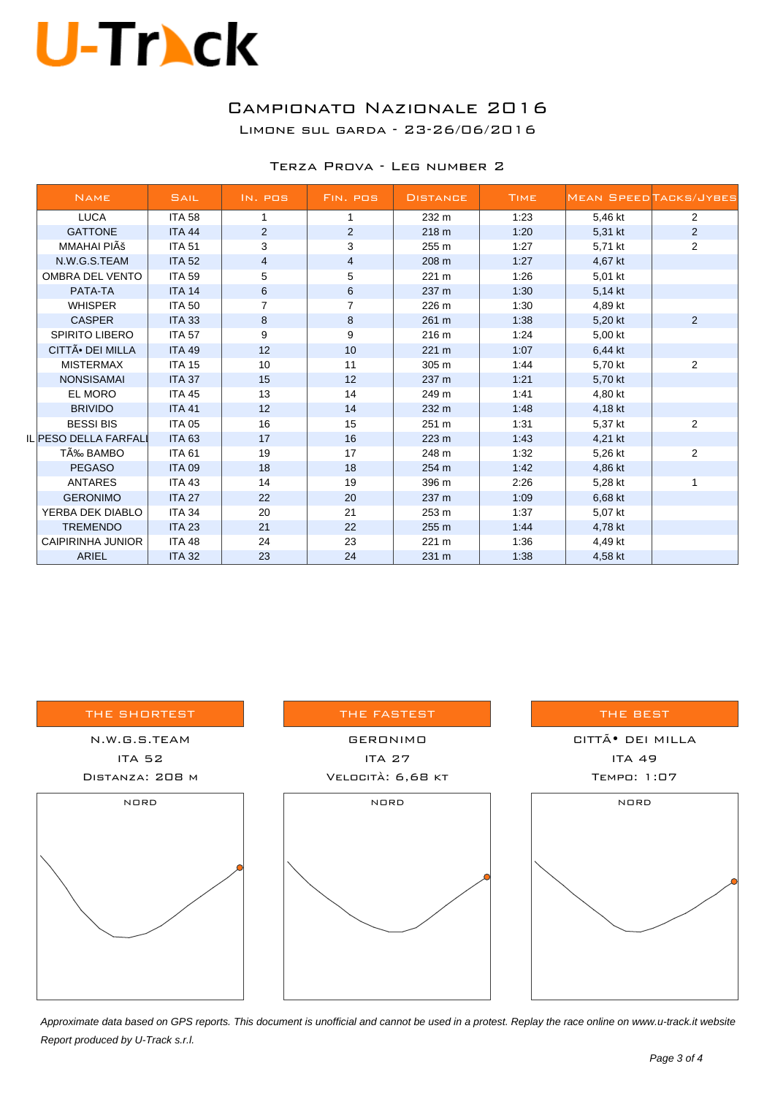### Campionato Nazionale 2016

Limone sul garda - 23-26/06/2016

#### Terza Prova - Leg number 2

| <b>NAME</b>                  | SAIL          | IN. POS        | FIN. POS       | <b>DISTANCE</b> | <b>TIME</b> |         | <b>MEAN SPEED TACKS/JYBES</b> |
|------------------------------|---------------|----------------|----------------|-----------------|-------------|---------|-------------------------------|
| <b>LUCA</b>                  | <b>ITA 58</b> | 1              | 1              | 232 m           | 1:23        | 5,46 kt | 2                             |
| <b>GATTONE</b>               | <b>ITA 44</b> | 2              | 2              | 218 m           | 1:20        | 5,31 kt | $\overline{2}$                |
| MMAHAI PIÊ                   | <b>ITA 51</b> | 3              | 3              | 255 m           | 1:27        | 5,71 kt | 2                             |
| N.W.G.S.TEAM                 | <b>ITA 52</b> | $\overline{4}$ | 4              | 208 m           | 1:27        | 4,67 kt |                               |
| OMBRA DEL VENTO              | <b>ITA 59</b> | 5              | 5              | 221 m           | 1:26        | 5,01 kt |                               |
| PATA-TA                      | <b>ITA 14</b> | 6              | 6              | 237 m           | 1:30        | 5,14 kt |                               |
| <b>WHISPER</b>               | <b>ITA 50</b> |                | $\overline{7}$ | 226 m           | 1:30        | 4,89 kt |                               |
| <b>CASPER</b>                | <b>ITA 33</b> | 8              | 8              | 261 m           | 1:38        | 5,20 kt | $\overline{2}$                |
| SPIRITO LIBERO               | <b>ITA 57</b> | 9              | 9              | 216 m           | 1:24        | 5,00 kt |                               |
| CITTÃ <sup>•</sup> DEI MILLA | <b>ITA 49</b> | 12             | 10             | 221 m           | 1:07        | 6,44 kt |                               |
| <b>MISTERMAX</b>             | <b>ITA 15</b> | 10             | 11             | 305 m           | 1:44        | 5,70 kt | 2                             |
| <b>NONSISAMAI</b>            | <b>ITA 37</b> | 15             | 12             | 237 m           | 1:21        | 5,70 kt |                               |
| <b>EL MORO</b>               | <b>ITA 45</b> | 13             | 14             | 249 m           | 1:41        | 4,80 kt |                               |
| <b>BRIVIDO</b>               | <b>ITA 41</b> | 12             | 14             | 232 m           | 1:48        | 4,18 kt |                               |
| <b>BESSI BIS</b>             | <b>ITA 05</b> | 16             | 15             | 251 m           | 1:31        | 5,37 kt | 2                             |
| IL PESO DELLA FARFALI        | <b>ITA 63</b> | 17             | 16             | 223 m           | 1.43        | 4,21 kt |                               |
| TÉ BAMBO                     | <b>ITA 61</b> | 19             | 17             | 248 m           | 1:32        | 5,26 kt | $\overline{2}$                |
| <b>PEGASO</b>                | <b>ITA 09</b> | 18             | 18             | 254 m           | 1:42        | 4,86 kt |                               |
| <b>ANTARES</b>               | <b>ITA 43</b> | 14             | 19             | 396 m           | 2:26        | 5,28 kt | 1                             |
| <b>GERONIMO</b>              | <b>ITA 27</b> | 22             | 20             | 237 m           | 1:09        | 6,68 kt |                               |
| YERBA DEK DIABLO             | <b>ITA 34</b> | 20             | 21             | 253 m           | 1:37        | 5,07 kt |                               |
| <b>TREMENDO</b>              | <b>ITA 23</b> | 21             | 22             | 255 m           | 1.44        | 4,78 kt |                               |
| CAIPIRINHA JUNIOR            | <b>ITA 48</b> | 24             | 23             | 221 m           | 1:36        | 4,49 kt |                               |
| <b>ARIEL</b>                 | <b>ITA 32</b> | 23             | 24             | 231 m           | 1:38        | 4,58 kt |                               |